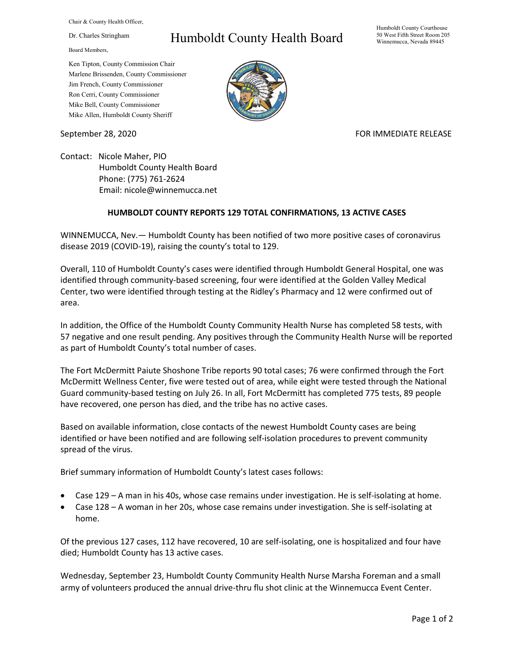Chair & County Health Officer,

Dr. Charles Stringham

Board Members,

## Humboldt County Health Board

Humboldt County Courthouse 50 West Fifth Street Room 205 Winnemucca, Nevada 89445

Ken Tipton, County Commission Chair Marlene Brissenden, County Commissioner Jim French, County Commissioner Ron Cerri, County Commissioner Mike Bell, County Commissioner Mike Allen, Humboldt County Sheriff

September 28, 2020 FOR IMMEDIATE RELEASE

Contact: Nicole Maher, PIO Humboldt County Health Board Phone: (775) 761-2624 Email: nicole@winnemucca.net

## **HUMBOLDT COUNTY REPORTS 129 TOTAL CONFIRMATIONS, 13 ACTIVE CASES**

WINNEMUCCA, Nev.— Humboldt County has been notified of two more positive cases of coronavirus disease 2019 (COVID-19), raising the county's total to 129.

Overall, 110 of Humboldt County's cases were identified through Humboldt General Hospital, one was identified through community-based screening, four were identified at the Golden Valley Medical Center, two were identified through testing at the Ridley's Pharmacy and 12 were confirmed out of area.

In addition, the Office of the Humboldt County Community Health Nurse has completed 58 tests, with 57 negative and one result pending. Any positives through the Community Health Nurse will be reported as part of Humboldt County's total number of cases.

The Fort McDermitt Paiute Shoshone Tribe reports 90 total cases; 76 were confirmed through the Fort McDermitt Wellness Center, five were tested out of area, while eight were tested through the National Guard community-based testing on July 26. In all, Fort McDermitt has completed 775 tests, 89 people have recovered, one person has died, and the tribe has no active cases.

Based on available information, close contacts of the newest Humboldt County cases are being identified or have been notified and are following self-isolation procedures to prevent community spread of the virus.

Brief summary information of Humboldt County's latest cases follows:

- Case 129 A man in his 40s, whose case remains under investigation. He is self-isolating at home.
- Case 128 A woman in her 20s, whose case remains under investigation. She is self-isolating at home.

Of the previous 127 cases, 112 have recovered, 10 are self-isolating, one is hospitalized and four have died; Humboldt County has 13 active cases.

Wednesday, September 23, Humboldt County Community Health Nurse Marsha Foreman and a small army of volunteers produced the annual drive-thru flu shot clinic at the Winnemucca Event Center.